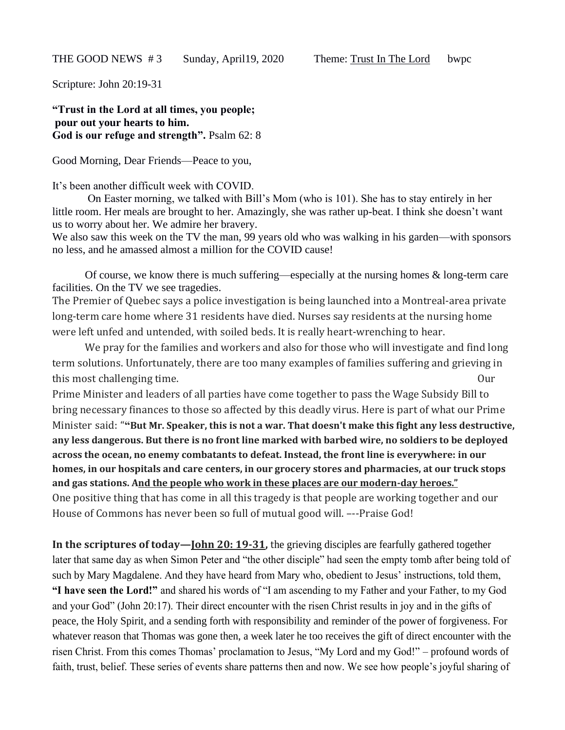Scripture: John 20:19-31

**"Trust in the Lord at all times, you people; pour out your hearts to him. God is our refuge and strength".** Psalm 62: 8

Good Morning, Dear Friends—Peace to you,

It's been another difficult week with COVID.

On Easter morning, we talked with Bill's Mom (who is 101). She has to stay entirely in her little room. Her meals are brought to her. Amazingly, she was rather up-beat. I think she doesn't want us to worry about her. We admire her bravery.

We also saw this week on the TV the man, 99 years old who was walking in his garden—with sponsors no less, and he amassed almost a million for the COVID cause!

Of course, we know there is much suffering—especially at the nursing homes & long-term care facilities. On the TV we see tragedies.

The Premier of Quebec says a police investigation is being launched into a Montreal-area private long-term care home where 31 residents have died. Nurses say residents at the nursing home were left unfed and untended, with soiled beds. It is really heart-wrenching to hear.

We pray for the families and workers and also for those who will investigate and find long term solutions. Unfortunately, there are too many examples of families suffering and grieving in this most challenging time. Our

Prime Minister and leaders of all parties have come together to pass the Wage Subsidy Bill to bring necessary finances to those so affected by this deadly virus. Here is part of what our Prime Minister said: "**"But Mr. Speaker, this is not a war. That doesn't make this fight any less destructive, any less dangerous. But there is no front line marked with barbed wire, no soldiers to be deployed across the ocean, no enemy combatants to defeat. Instead, the front line is everywhere: in our homes, in our hospitals and care centers, in our grocery stores and pharmacies, at our truck stops and gas stations. And the people who work in these places are our modern-day heroes."**  One positive thing that has come in all this tragedy is that people are working together and our House of Commons has never been so full of mutual good will. –--Praise God!

**In the scriptures of today—John 20: 19-31,** the grieving disciples are fearfully gathered together later that same day as when Simon Peter and "the other disciple" had seen the empty tomb after being told of such by Mary Magdalene. And they have heard from Mary who, obedient to Jesus' instructions, told them, **"I have seen the Lord!"** and shared his words of "I am ascending to my Father and your Father, to my God and your God" (John 20:17). Their direct encounter with the risen Christ results in joy and in the gifts of peace, the Holy Spirit, and a sending forth with responsibility and reminder of the power of forgiveness. For whatever reason that Thomas was gone then, a week later he too receives the gift of direct encounter with the risen Christ. From this comes Thomas' proclamation to Jesus, "My Lord and my God!" – profound words of faith, trust, belief. These series of events share patterns then and now. We see how people's joyful sharing of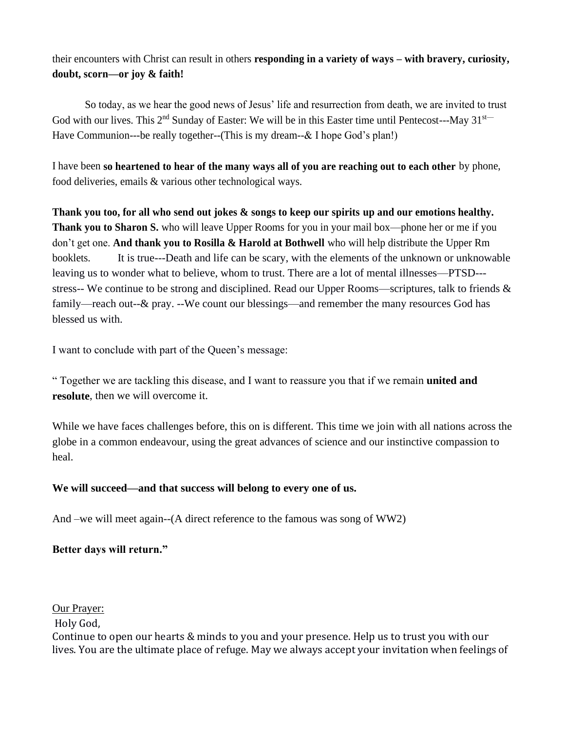their encounters with Christ can result in others **responding in a variety of ways – with bravery, curiosity, doubt, scorn—or joy & faith!**

So today, as we hear the good news of Jesus' life and resurrection from death, we are invited to trust God with our lives. This  $2^{nd}$  Sunday of Easter: We will be in this Easter time until Pentecost---May 31<sup>st--</sup> Have Communion---be really together--(This is my dream--& I hope God's plan!)

I have been **so heartened to hear of the many ways all of you are reaching out to each other** by phone, food deliveries, emails & various other technological ways.

**Thank you too, for all who send out jokes & songs to keep our spirits up and our emotions healthy. Thank you to Sharon S.** who will leave Upper Rooms for you in your mail box—phone her or me if you don't get one. **And thank you to Rosilla & Harold at Bothwell** who will help distribute the Upper Rm booklets. It is true---Death and life can be scary, with the elements of the unknown or unknowable leaving us to wonder what to believe, whom to trust. There are a lot of mental illnesses—PTSD-- stress-- We continue to be strong and disciplined. Read our Upper Rooms—scriptures, talk to friends & family—reach out--& pray. --We count our blessings—and remember the many resources God has blessed us with.

I want to conclude with part of the Queen's message:

" Together we are tackling this disease, and I want to reassure you that if we remain **united and resolute**, then we will overcome it.

While we have faces challenges before, this on is different. This time we join with all nations across the globe in a common endeavour, using the great advances of science and our instinctive compassion to heal.

## **We will succeed—and that success will belong to every one of us.**

And –we will meet again--(A direct reference to the famous was song of WW2)

## **Better days will return."**

Our Prayer:

Holy God,

Continue to open our hearts & minds to you and your presence. Help us to trust you with our lives. You are the ultimate place of refuge. May we always accept your invitation when feelings of